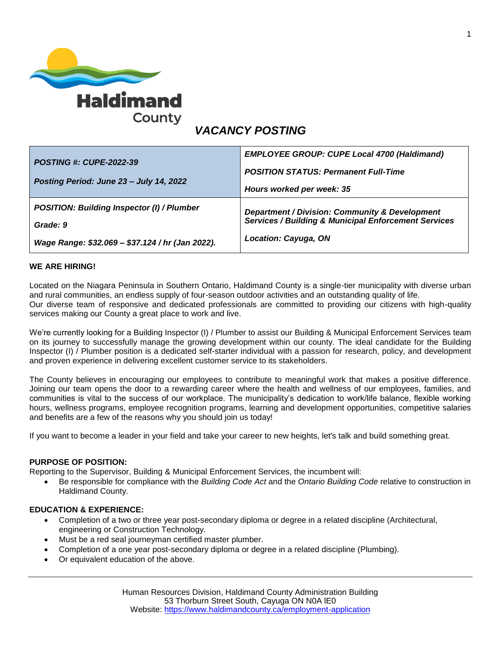

# *VACANCY POSTING*

| <b>POSTING #: CUPE-2022-39</b>                    | <b>EMPLOYEE GROUP: CUPE Local 4700 (Haldimand)</b>              |
|---------------------------------------------------|-----------------------------------------------------------------|
|                                                   | <b>POSITION STATUS: Permanent Full-Time</b>                     |
| Posting Period: June 23 – July 14, 2022           | Hours worked per week: 35                                       |
| <b>POSITION: Building Inspector (I) / Plumber</b> | Department / Division: Community & Development                  |
| Grade: 9                                          | <b>Services / Building &amp; Municipal Enforcement Services</b> |
| Wage Range: \$32.069 - \$37.124 / hr (Jan 2022).  | <b>Location: Cayuga, ON</b>                                     |

#### **WE ARE HIRING!**

Located on the Niagara Peninsula in Southern Ontario, Haldimand County is a single-tier municipality with diverse urban and rural communities, an endless supply of four-season outdoor activities and an outstanding quality of life. Our diverse team of responsive and dedicated professionals are committed to providing our citizens with high-quality services making our County a great place to work and live.

We're currently looking for a Building Inspector (I) / Plumber to assist our Building & Municipal Enforcement Services team on its journey to successfully manage the growing development within our county. The ideal candidate for the Building Inspector (I) / Plumber position is a dedicated self-starter individual with a passion for research, policy, and development and proven experience in delivering excellent customer service to its stakeholders.

The County believes in encouraging our employees to contribute to meaningful work that makes a positive difference. Joining our team opens the door to a rewarding career where the health and wellness of our employees, families, and communities is vital to the success of our workplace. The municipality's dedication to work/life balance, flexible working hours, wellness programs, employee recognition programs, learning and development opportunities, competitive salaries and benefits are a few of the reasons why you should join us today!

If you want to become a leader in your field and take your career to new heights, let's talk and build something great.

#### **PURPOSE OF POSITION:**

Reporting to the Supervisor, Building & Municipal Enforcement Services, the incumbent will:

 Be responsible for compliance with the *Building Code Act* and the *Ontario Building Code* relative to construction in Haldimand County.

#### **EDUCATION & EXPERIENCE:**

- Completion of a two or three year post-secondary diploma or degree in a related discipline (Architectural, engineering or Construction Technology.
- Must be a red seal journeyman certified master plumber.
- Completion of a one year post-secondary diploma or degree in a related discipline (Plumbing).
- Or equivalent education of the above.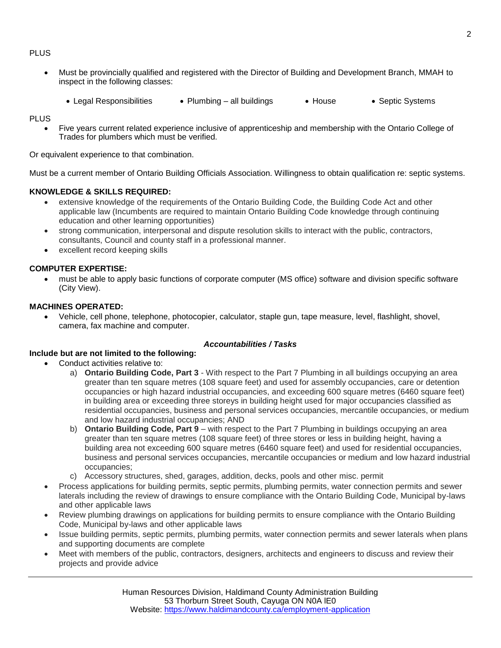#### PLUS

- Must be provincially qualified and registered with the Director of Building and Development Branch, MMAH to inspect in the following classes:
	- Legal Responsibilities Plumbing all buildings House Septic Systems

PLUS

 Five years current related experience inclusive of apprenticeship and membership with the Ontario College of Trades for plumbers which must be verified.

Or equivalent experience to that combination.

Must be a current member of Ontario Building Officials Association. Willingness to obtain qualification re: septic systems.

## **KNOWLEDGE & SKILLS REQUIRED:**

- extensive knowledge of the requirements of the Ontario Building Code, the Building Code Act and other applicable law (Incumbents are required to maintain Ontario Building Code knowledge through continuing education and other learning opportunities)
- strong communication, interpersonal and dispute resolution skills to interact with the public, contractors, consultants, Council and county staff in a professional manner.
- excellent record keeping skills

#### **COMPUTER EXPERTISE:**

 must be able to apply basic functions of corporate computer (MS office) software and division specific software (City View).

#### **MACHINES OPERATED:**

 Vehicle, cell phone, telephone, photocopier, calculator, staple gun, tape measure, level, flashlight, shovel, camera, fax machine and computer.

#### *Accountabilities / Tasks*

#### **Include but are not limited to the following:**

- Conduct activities relative to:
	- a) **Ontario Building Code, Part 3** With respect to the Part 7 Plumbing in all buildings occupying an area greater than ten square metres (108 square feet) and used for assembly occupancies, care or detention occupancies or high hazard industrial occupancies, and exceeding 600 square metres (6460 square feet) in building area or exceeding three storeys in building height used for major occupancies classified as residential occupancies, business and personal services occupancies, mercantile occupancies, or medium and low hazard industrial occupancies; AND
	- b) **Ontario Building Code, Part 9** with respect to the Part 7 Plumbing in buildings occupying an area greater than ten square metres (108 square feet) of three stores or less in building height, having a building area not exceeding 600 square metres (6460 square feet) and used for residential occupancies, business and personal services occupancies, mercantile occupancies or medium and low hazard industrial occupancies;
	- c) Accessory structures, shed, garages, addition, decks, pools and other misc. permit
- Process applications for building permits, septic permits, plumbing permits, water connection permits and sewer laterals including the review of drawings to ensure compliance with the Ontario Building Code, Municipal by-laws and other applicable laws
- Review plumbing drawings on applications for building permits to ensure compliance with the Ontario Building Code, Municipal by-laws and other applicable laws
- Issue building permits, septic permits, plumbing permits, water connection permits and sewer laterals when plans and supporting documents are complete
- Meet with members of the public, contractors, designers, architects and engineers to discuss and review their projects and provide advice